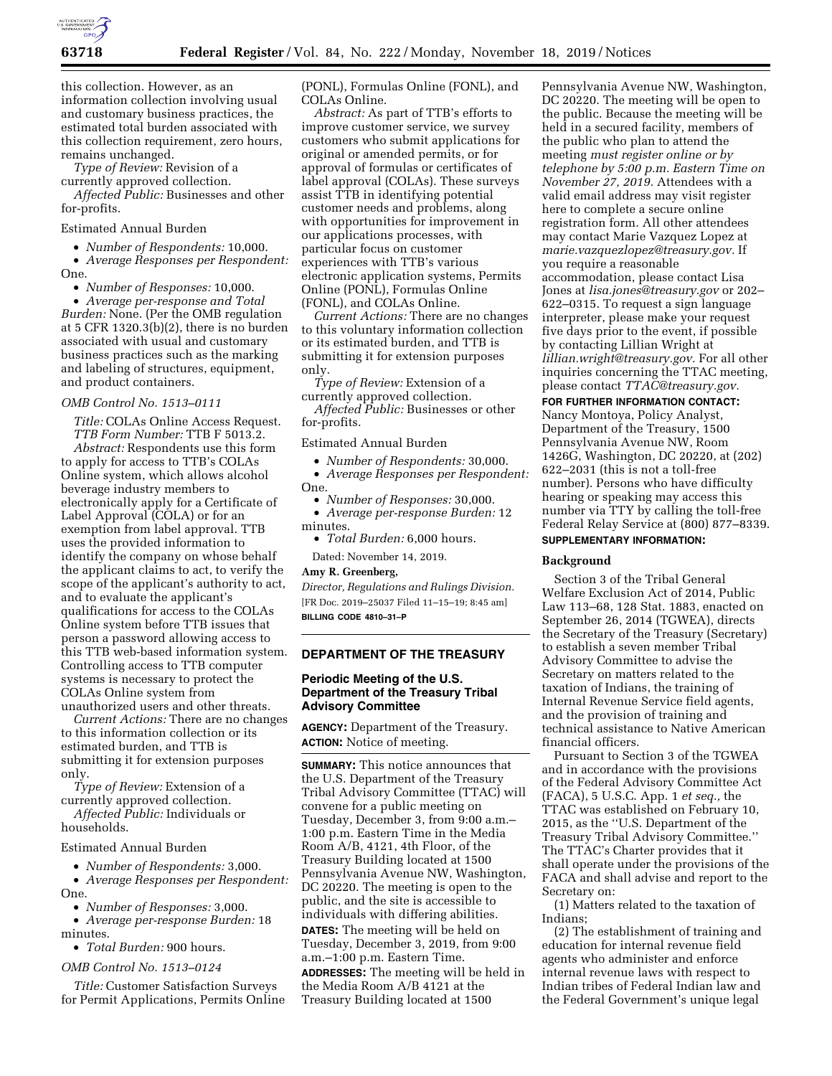

this collection. However, as an information collection involving usual and customary business practices, the estimated total burden associated with this collection requirement, zero hours, remains unchanged.

*Type of Review:* Revision of a currently approved collection.

*Affected Public:* Businesses and other for-profits.

Estimated Annual Burden

• *Number of Respondents:* 10,000.

• *Average Responses per Respondent:*  One.

• *Number of Responses:* 10,000.

• *Average per-response and Total Burden:* None. (Per the OMB regulation at 5 CFR 1320.3(b)(2), there is no burden associated with usual and customary business practices such as the marking and labeling of structures, equipment, and product containers.

*OMB Control No. 1513–0111* 

*Title:* COLAs Online Access Request. *TTB Form Number:* TTB F 5013.2.

*Abstract:* Respondents use this form to apply for access to TTB's COLAs Online system, which allows alcohol beverage industry members to electronically apply for a Certificate of Label Approval (COLA) or for an exemption from label approval. TTB uses the provided information to identify the company on whose behalf the applicant claims to act, to verify the scope of the applicant's authority to act, and to evaluate the applicant's qualifications for access to the COLAs Online system before TTB issues that person a password allowing access to this TTB web-based information system. Controlling access to TTB computer systems is necessary to protect the COLAs Online system from unauthorized users and other threats.

*Current Actions:* There are no changes to this information collection or its estimated burden, and TTB is submitting it for extension purposes only.

*Type of Review:* Extension of a currently approved collection.

*Affected Public:* Individuals or households.

#### Estimated Annual Burden

• *Number of Respondents:* 3,000.

• *Average Responses per Respondent:*  One.

• *Number of Responses:* 3,000.

• *Average per-response Burden:* 18 minutes.

• *Total Burden:* 900 hours.

#### *OMB Control No. 1513–0124*

*Title:* Customer Satisfaction Surveys for Permit Applications, Permits Online (PONL), Formulas Online (FONL), and COLAs Online.

*Abstract:* As part of TTB's efforts to improve customer service, we survey customers who submit applications for original or amended permits, or for approval of formulas or certificates of label approval (COLAs). These surveys assist TTB in identifying potential customer needs and problems, along with opportunities for improvement in our applications processes, with particular focus on customer experiences with TTB's various electronic application systems, Permits Online (PONL), Formulas Online (FONL), and COLAs Online.

*Current Actions:* There are no changes to this voluntary information collection or its estimated burden, and TTB is submitting it for extension purposes only.

*Type of Review:* Extension of a currently approved collection.

*Affected Public:* Businesses or other for-profits.

Estimated Annual Burden

• *Number of Respondents:* 30,000. • *Average Responses per Respondent:*  One.

• *Number of Responses:* 30,000. • *Average per-response Burden:* 12 minutes.

• *Total Burden:* 6,000 hours.

Dated: November 14, 2019.

## **Amy R. Greenberg,**

*Director, Regulations and Rulings Division.*  [FR Doc. 2019–25037 Filed 11–15–19; 8:45 am] **BILLING CODE 4810–31–P** 

## **DEPARTMENT OF THE TREASURY**

## **Periodic Meeting of the U.S. Department of the Treasury Tribal Advisory Committee**

**AGENCY:** Department of the Treasury. **ACTION:** Notice of meeting.

**SUMMARY:** This notice announces that the U.S. Department of the Treasury Tribal Advisory Committee (TTAC) will convene for a public meeting on Tuesday, December 3, from 9:00 a.m.– 1:00 p.m. Eastern Time in the Media Room A/B, 4121, 4th Floor, of the Treasury Building located at 1500 Pennsylvania Avenue NW, Washington, DC 20220. The meeting is open to the public, and the site is accessible to individuals with differing abilities. **DATES:** The meeting will be held on

Tuesday, December 3, 2019, from 9:00 a.m.–1:00 p.m. Eastern Time.

**ADDRESSES:** The meeting will be held in the Media Room A/B 4121 at the Treasury Building located at 1500

Pennsylvania Avenue NW, Washington, DC 20220. The meeting will be open to the public. Because the meeting will be held in a secured facility, members of the public who plan to attend the meeting *must register online or by telephone by 5:00 p.m. Eastern Time on November 27, 2019.* Attendees with a valid email address may visit register here to complete a secure online registration form. All other attendees may contact Marie Vazquez Lopez at *[marie.vazquezlopez@treasury.gov.](mailto:marie.vazquezlopez@treasury.gov)* If you require a reasonable accommodation, please contact Lisa Jones at *[lisa.jones@treasury.gov](mailto:lisa.jones@treasury.gov)* or 202– 622–0315. To request a sign language interpreter, please make your request five days prior to the event, if possible by contacting Lillian Wright at *[lillian.wright@treasury.gov.](mailto:lillian.wright@treasury.gov)* For all other inquiries concerning the TTAC meeting, please contact *[TTAC@treasury.gov.](mailto:TTAC@treasury.gov)* 

**FOR FURTHER INFORMATION CONTACT:** 

Nancy Montoya, Policy Analyst, Department of the Treasury, 1500 Pennsylvania Avenue NW, Room 1426G, Washington, DC 20220, at (202) 622–2031 (this is not a toll-free number). Persons who have difficulty hearing or speaking may access this number via TTY by calling the toll-free Federal Relay Service at (800) 877–8339.

# **SUPPLEMENTARY INFORMATION:**

#### **Background**

Section 3 of the Tribal General Welfare Exclusion Act of 2014, Public Law 113–68, 128 Stat. 1883, enacted on September 26, 2014 (TGWEA), directs the Secretary of the Treasury (Secretary) to establish a seven member Tribal Advisory Committee to advise the Secretary on matters related to the taxation of Indians, the training of Internal Revenue Service field agents, and the provision of training and technical assistance to Native American financial officers.

Pursuant to Section 3 of the TGWEA and in accordance with the provisions of the Federal Advisory Committee Act (FACA), 5 U.S.C. App. 1 *et seq.,* the TTAC was established on February 10, 2015, as the ''U.S. Department of the Treasury Tribal Advisory Committee.'' The TTAC's Charter provides that it shall operate under the provisions of the FACA and shall advise and report to the Secretary on:

(1) Matters related to the taxation of Indians;

(2) The establishment of training and education for internal revenue field agents who administer and enforce internal revenue laws with respect to Indian tribes of Federal Indian law and the Federal Government's unique legal